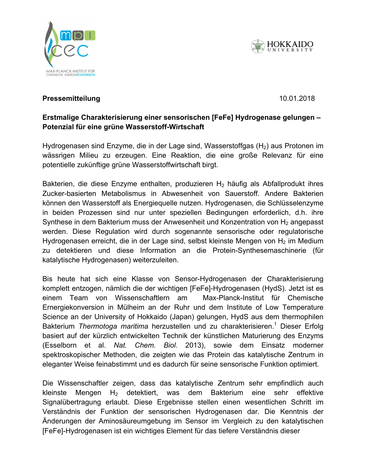





# **Pressemitteilung 2017** and 2017 the Dec. 10.01.2018

### Fretmalige Cha **Protein environment makes catalyst efficient Erstmalige Charakterisierung einer sensorischen [FeFe] Hydrogenase gelungen – Potenzial für eine grüne Wasserstoff-Wirtschaft**

The interaction of protein shell and active centre in hydrogen-producing enzymes is wässrigen Milieu zu erzeugen. Eine Reaktion, die eine große Relevanz für eine matentielle zukünftige grüpe Wasserstoffwirtschaft birgt potentielle zukünftige grüne Wasserstoffwirtschaft birgt. Hydrogenasen sind Enzyme, die in der Lage sind, Wasserstoffgas  $(H<sub>2</sub>)$  aus Protonen im

Bakterien, die diese Enzyme enthalten, produzieren H<sub>2</sub> häufig als Abfallprodukt ihres Zucker-basierten Metabolismus in Abwesenheit von Sauerstoff. Andere Bakterien biocatalyst group, but also give applied research important pointers for the development können den Wasserstoff als Energiequelle nutzen. Hydrogenasen, die Schlüsselenzyme in beiden Prozessen sind nur unter speziellen Bedingungen erforderlich, d.h. ihre Synthese in dem Bakterium muss der Anwesenheit und Konzentration von H<sub>2</sub> angepasst werden. Diese Regulation wird durch sogenannte sensorische oder regulatorische Hydrogenasen erreicht, die in der Lage sind, selbst kleinste Mengen von H<sub>2</sub> im Medium  $T_{\rm H}$  detektionen und diese Information and is Dratein Sur zu detektieren und diese Information an die Protein-Synthesemaschinerie (für katalytische Hydrogenasen) weiterzuleiten.  $\mathbf{b}_{\mathbf{a}}$  , explains  $\mathbf{b}_{\mathbf{a}}$  and  $\mathbf{b}_{\mathbf{a}}$  and working groups  $\mathbf{b}_{\mathbf{a}}$  and working groups groups groups groups groups groups groups groups groups groups groups groups groups groups groups groups gro

spektroskopischer Methoden, die zeigter wie das Protein das katalytische Zentrum in Bis heute hat sich eine Klasse von Sensor-Hydrogenasen der Charakterisierung komplett entzogen, nämlich die der wichtigen [FeFe]-Hydrogenasen (HydS). Jetzt ist es  $\sum_{n=1}^{\infty}$   $\sum_{n=1}^{\infty}$   $\sum_{n=1}^{\infty}$   $\sum_{n=1}^{\infty}$  and  $\sum_{n=1}^{\infty}$   $\sum_{n=1}^{\infty}$  spatial spatial spatial spatial spatial spatial spatial spatial spatial spatial spatial spatial spatial spatial spatial spatial einem Team von Wissenschaftlern am Max-Planck-Institut für Chemische Ernergiekonversion in Mülheim an der Ruhr und dem Institute of Low Temperature Science an der University of Hokkaido (Japan) gelungen, HydS aus dem thermophilen Bakterium *Thermotoga maritima* herzustellen und zu charakterisieren.<sup>1</sup> Dieser Erfolg basiert auf der kürzlich entwickelten Technik der künstlichen Maturierung des Enzyms (Esselborn et al. *Nat. Chem. Biol.* 2013), sowie dem Einsatz moderner eleganter Weise feinabstimmt und es dadurch für seine sensorische Funktion optimiert.

Die Wissenschaftler zeigen, dass das katalytische Zentrum sehr empfindlich auch kleinste Mengen H2 detektiert, was dem Bakterium eine sehr effektive Signalübertragung erlaubt. Diese Ergebnisse stellen einen wesentlichen Schritt im Verständnis der Funktion der sensorischen Hydrogenasen dar. Die Kenntnis der Änderungen der Aminosäureumgebung im Sensor im Vergleich zu den katalytischen [FeFe]-Hydrogenasen ist ein wichtiges Element für das tiefere Verständnis dieser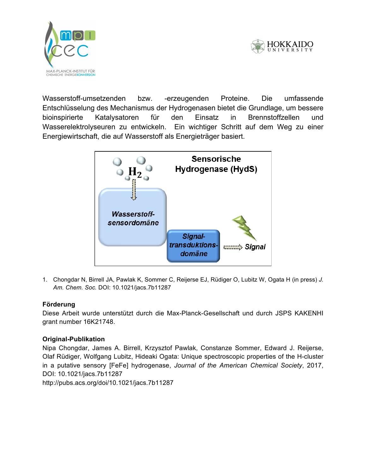



Wasserstoff-umsetzenden bzw. -erzeugenden Proteine. Die umfassende bioinspirierte **Protein environment makes catalyst efficient** Wasserelektrolyseuren zu entwickeln. Ein wichtiger Schritt auf dem Weg zu einer **Biocatalysts are large protein molecules. The actual reaction takes place only at a small centrepiece. But the rest also plays a role.** Energiewirtschaft, die auf Wasserstoff als Energieträger basiert. Entschlüsselung des Mechanismus der Hydrogenasen bietet die Grundlage, um bessere Katalysatoren für den Einsatz in Brennstoffzellen und



1. Chongdar N, Birrell JA, Pawlak K, Sommer C, Reijerse EJ, Rüdiger O, Lubitz W, Ogata H (in press) J. *Am. Chem. Soc. DOI: 10.1021/jacs.7b11287* 

#### alignment of the H-cluster and protects it from damaging it from damaging influences  $\alpha$ Lampret, who is writing his doctoral thesis on this topic. **Förderung**

Diese Arbeit wurde unterstützt durch die Max-Planck-Gesellschaft und durch JSPS KAKENHI grant number 16K21748.

## **Original-Publikation**

Siftstrasse34.38 iger, Wolfgang Lubitz, Hideaki Cantes esegge in the spectroscopic properties of the H-cluster Nipa Chongdar, James A. Birrell, Krzysztof Pawlak, Constanze Sommer, Edward J. Reijerse, in a putative sensory [FeFe] hydrogenase, *Journal of the American Chemical Society*, 2017, DOI: 10.1021/jacs.7b11287 http://pubs.acs.org/doi/10.1021/jacs.7b11287